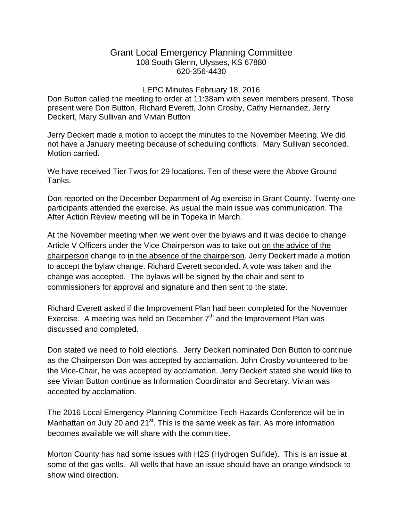## Grant Local Emergency Planning Committee 108 South Glenn, Ulysses, KS 67880 620-356-4430

## LEPC Minutes February 18, 2016

Don Button called the meeting to order at 11:38am with seven members present. Those present were Don Button, Richard Everett, John Crosby, Cathy Hernandez, Jerry Deckert, Mary Sullivan and Vivian Button

Jerry Deckert made a motion to accept the minutes to the November Meeting. We did not have a January meeting because of scheduling conflicts. Mary Sullivan seconded. Motion carried.

We have received Tier Twos for 29 locations. Ten of these were the Above Ground Tanks.

Don reported on the December Department of Ag exercise in Grant County. Twenty-one participants attended the exercise. As usual the main issue was communication. The After Action Review meeting will be in Topeka in March.

At the November meeting when we went over the bylaws and it was decide to change Article V Officers under the Vice Chairperson was to take out on the advice of the chairperson change to in the absence of the chairperson. Jerry Deckert made a motion to accept the bylaw change. Richard Everett seconded. A vote was taken and the change was accepted. The bylaws will be signed by the chair and sent to commissioners for approval and signature and then sent to the state.

Richard Everett asked if the Improvement Plan had been completed for the November Exercise. A meeting was held on December  $7<sup>th</sup>$  and the Improvement Plan was discussed and completed.

Don stated we need to hold elections. Jerry Deckert nominated Don Button to continue as the Chairperson Don was accepted by acclamation. John Crosby volunteered to be the Vice-Chair, he was accepted by acclamation. Jerry Deckert stated she would like to see Vivian Button continue as Information Coordinator and Secretary. Vivian was accepted by acclamation.

The 2016 Local Emergency Planning Committee Tech Hazards Conference will be in Manhattan on July 20 and  $21^{st}$ . This is the same week as fair. As more information becomes available we will share with the committee.

Morton County has had some issues with H2S (Hydrogen Sulfide). This is an issue at some of the gas wells. All wells that have an issue should have an orange windsock to show wind direction.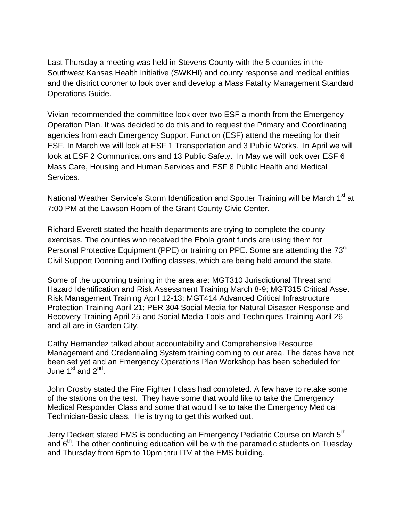Last Thursday a meeting was held in Stevens County with the 5 counties in the Southwest Kansas Health Initiative (SWKHI) and county response and medical entities and the district coroner to look over and develop a Mass Fatality Management Standard Operations Guide.

Vivian recommended the committee look over two ESF a month from the Emergency Operation Plan. It was decided to do this and to request the Primary and Coordinating agencies from each Emergency Support Function (ESF) attend the meeting for their ESF. In March we will look at ESF 1 Transportation and 3 Public Works. In April we will look at ESF 2 Communications and 13 Public Safety. In May we will look over ESF 6 Mass Care, Housing and Human Services and ESF 8 Public Health and Medical Services.

National Weather Service's Storm Identification and Spotter Training will be March 1<sup>st</sup> at 7:00 PM at the Lawson Room of the Grant County Civic Center.

Richard Everett stated the health departments are trying to complete the county exercises. The counties who received the Ebola grant funds are using them for Personal Protective Equipment (PPE) or training on PPE. Some are attending the 73<sup>rd</sup> Civil Support Donning and Doffing classes, which are being held around the state.

Some of the upcoming training in the area are: MGT310 Jurisdictional Threat and Hazard Identification and Risk Assessment Training March 8-9; MGT315 Critical Asset Risk Management Training April 12-13; MGT414 Advanced Critical Infrastructure Protection Training April 21; PER 304 Social Media for Natural Disaster Response and Recovery Training April 25 and Social Media Tools and Techniques Training April 26 and all are in Garden City.

Cathy Hernandez talked about accountability and Comprehensive Resource Management and Credentialing System training coming to our area. The dates have not been set yet and an Emergency Operations Plan Workshop has been scheduled for June  $1^{\text{st}}$  and  $2^{\text{nd}}$ .

John Crosby stated the Fire Fighter I class had completed. A few have to retake some of the stations on the test. They have some that would like to take the Emergency Medical Responder Class and some that would like to take the Emergency Medical Technician-Basic class. He is trying to get this worked out.

Jerry Deckert stated EMS is conducting an Emergency Pediatric Course on March 5<sup>th</sup> and 6<sup>th</sup>. The other continuing education will be with the paramedic students on Tuesday and Thursday from 6pm to 10pm thru ITV at the EMS building.